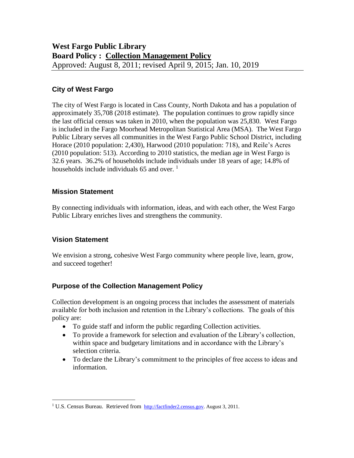# **City of West Fargo**

The city of West Fargo is located in Cass County, North Dakota and has a population of approximately 35,708 (2018 estimate). The population continues to grow rapidly since the last official census was taken in 2010, when the population was 25,830. West Fargo is included in the Fargo Moorhead Metropolitan Statistical Area (MSA). The West Fargo Public Library serves all communities in the West Fargo Public School District, including Horace (2010 population: 2,430), Harwood (2010 population: 718), and Reile's Acres (2010 population: 513). According to 2010 statistics, the median age in West Fargo is 32.6 years. 36.2% of households include individuals under 18 years of age; 14.8% of households include individuals 65 and over.  $1$ 

# **Mission Statement**

By connecting individuals with information, ideas, and with each other, the West Fargo Public Library enriches lives and strengthens the community.

# **Vision Statement**

 $\overline{a}$ 

We envision a strong, cohesive West Fargo community where people live, learn, grow, and succeed together!

# **Purpose of the Collection Management Policy**

Collection development is an ongoing process that includes the assessment of materials available for both inclusion and retention in the Library's collections. The goals of this policy are:

- To guide staff and inform the public regarding Collection activities.
- To provide a framework for selection and evaluation of the Library's collection, within space and budgetary limitations and in accordance with the Library's selection criteria.
- To declare the Library's commitment to the principles of free access to ideas and information.

<sup>&</sup>lt;sup>1</sup> U.S. Census Bureau. Retrieved from [http://factfinder2.census.gov.](http://factfinder2.census.gov/) August 3, 2011.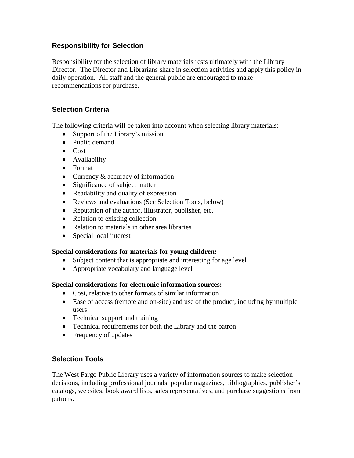# **Responsibility for Selection**

Responsibility for the selection of library materials rests ultimately with the Library Director. The Director and Librarians share in selection activities and apply this policy in daily operation. All staff and the general public are encouraged to make recommendations for purchase.

# **Selection Criteria**

The following criteria will be taken into account when selecting library materials:

- Support of the Library's mission
- Public demand
- Cost
- Availability
- Format
- Currency & accuracy of information
- Significance of subject matter
- Readability and quality of expression
- Reviews and evaluations (See Selection Tools, below)
- Reputation of the author, illustrator, publisher, etc.
- Relation to existing collection
- Relation to materials in other area libraries
- Special local interest

# **Special considerations for materials for young children:**

- Subject content that is appropriate and interesting for age level
- Appropriate vocabulary and language level

#### **Special considerations for electronic information sources:**

- Cost, relative to other formats of similar information
- Ease of access (remote and on-site) and use of the product, including by multiple users
- Technical support and training
- Technical requirements for both the Library and the patron
- Frequency of updates

# **Selection Tools**

The West Fargo Public Library uses a variety of information sources to make selection decisions, including professional journals, popular magazines, bibliographies, publisher's catalogs, websites, book award lists, sales representatives, and purchase suggestions from patrons.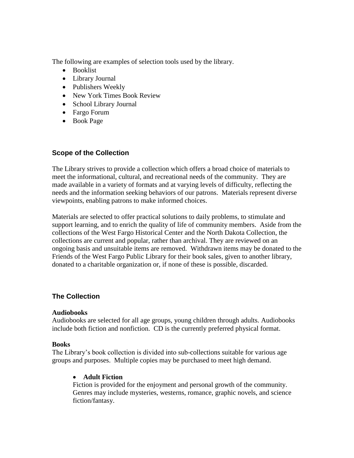The following are examples of selection tools used by the library.

- Booklist
- Library Journal
- Publishers Weekly
- New York Times Book Review
- School Library Journal
- Fargo Forum
- Book Page

# **Scope of the Collection**

The Library strives to provide a collection which offers a broad choice of materials to meet the informational, cultural, and recreational needs of the community. They are made available in a variety of formats and at varying levels of difficulty, reflecting the needs and the information seeking behaviors of our patrons. Materials represent diverse viewpoints, enabling patrons to make informed choices.

Materials are selected to offer practical solutions to daily problems, to stimulate and support learning, and to enrich the quality of life of community members. Aside from the collections of the West Fargo Historical Center and the North Dakota Collection, the collections are current and popular, rather than archival. They are reviewed on an ongoing basis and unsuitable items are removed. Withdrawn items may be donated to the Friends of the West Fargo Public Library for their book sales, given to another library, donated to a charitable organization or, if none of these is possible, discarded.

# **The Collection**

#### **Audiobooks**

Audiobooks are selected for all age groups, young children through adults. Audiobooks include both fiction and nonfiction. CD is the currently preferred physical format.

#### **Books**

The Library's book collection is divided into sub-collections suitable for various age groups and purposes. Multiple copies may be purchased to meet high demand.

# **Adult Fiction**

Fiction is provided for the enjoyment and personal growth of the community. Genres may include mysteries, westerns, romance, graphic novels, and science fiction/fantasy.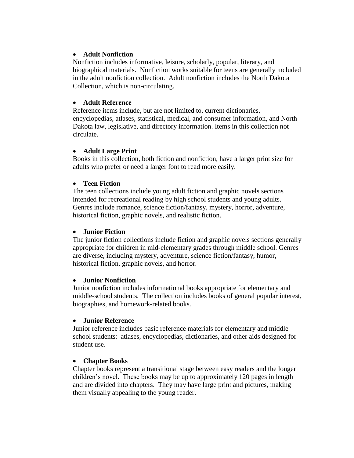### **Adult Nonfiction**

Nonfiction includes informative, leisure, scholarly, popular, literary, and biographical materials. Nonfiction works suitable for teens are generally included in the adult nonfiction collection. Adult nonfiction includes the North Dakota Collection, which is non-circulating.

### **Adult Reference**

Reference items include, but are not limited to, current dictionaries, encyclopedias, atlases, statistical, medical, and consumer information, and North Dakota law, legislative, and directory information. Items in this collection not circulate.

### **Adult Large Print**

Books in this collection, both fiction and nonfiction, have a larger print size for adults who prefer  $\theta$  a larger font to read more easily.

### **Teen Fiction**

The teen collections include young adult fiction and graphic novels sections intended for recreational reading by high school students and young adults. Genres include romance, science fiction/fantasy, mystery, horror, adventure, historical fiction, graphic novels, and realistic fiction.

### **Junior Fiction**

The junior fiction collections include fiction and graphic novels sections generally appropriate for children in mid-elementary grades through middle school. Genres are diverse, including mystery, adventure, science fiction/fantasy, humor, historical fiction, graphic novels, and horror.

#### **Junior Nonfiction**

Junior nonfiction includes informational books appropriate for elementary and middle-school students. The collection includes books of general popular interest, biographies, and homework-related books.

#### **Junior Reference**

Junior reference includes basic reference materials for elementary and middle school students: atlases, encyclopedias, dictionaries, and other aids designed for student use.

#### **Chapter Books**

Chapter books represent a transitional stage between easy readers and the longer children's novel. These books may be up to approximately 120 pages in length and are divided into chapters. They may have large print and pictures, making them visually appealing to the young reader.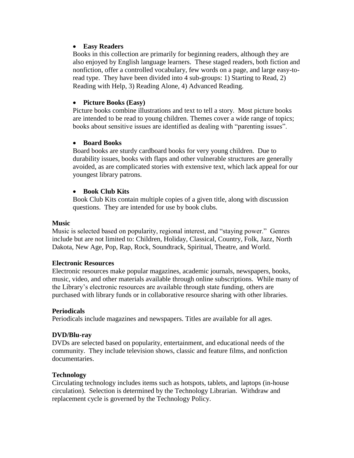### **Easy Readers**

Books in this collection are primarily for beginning readers, although they are also enjoyed by English language learners. These staged readers, both fiction and nonfiction, offer a controlled vocabulary, few words on a page, and large easy-toread type. They have been divided into 4 sub-groups: 1) Starting to Read, 2) Reading with Help, 3) Reading Alone, 4) Advanced Reading.

### **Picture Books (Easy)**

Picture books combine illustrations and text to tell a story. Most picture books are intended to be read to young children. Themes cover a wide range of topics; books about sensitive issues are identified as dealing with "parenting issues".

### **Board Books**

Board books are sturdy cardboard books for very young children. Due to durability issues, books with flaps and other vulnerable structures are generally avoided, as are complicated stories with extensive text, which lack appeal for our youngest library patrons.

### **Book Club Kits**

Book Club Kits contain multiple copies of a given title, along with discussion questions. They are intended for use by book clubs.

### **Music**

Music is selected based on popularity, regional interest, and "staying power." Genres include but are not limited to: Children, Holiday, Classical, Country, Folk, Jazz, North Dakota, New Age, Pop, Rap, Rock, Soundtrack, Spiritual, Theatre, and World.

#### **Electronic Resources**

Electronic resources make popular magazines, academic journals, newspapers, books, music, video, and other materials available through online subscriptions. While many of the Library's electronic resources are available through state funding, others are purchased with library funds or in collaborative resource sharing with other libraries.

# **Periodicals**

Periodicals include magazines and newspapers. Titles are available for all ages.

# **DVD/Blu-ray**

DVDs are selected based on popularity, entertainment, and educational needs of the community. They include television shows, classic and feature films, and nonfiction documentaries.

#### **Technology**

Circulating technology includes items such as hotspots, tablets, and laptops (in-house circulation). Selection is determined by the Technology Librarian. Withdraw and replacement cycle is governed by the Technology Policy.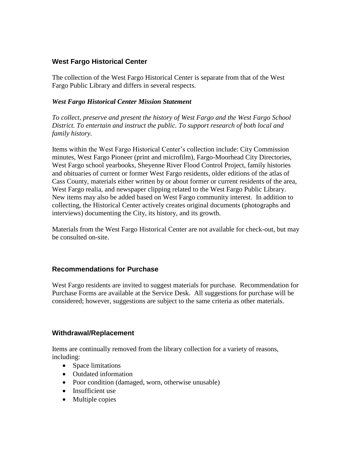# **West Fargo Historical Center**

The collection of the West Fargo Historical Center is separate from that of the West Fargo Public Library and differs in several respects.

# *West Fargo Historical Center Mission Statement*

*To collect, preserve and present the history of West Fargo and the West Fargo School District. To entertain and instruct the public. To support research of both local and family history.*

Items within the West Fargo Historical Center's collection include: City Commission minutes, West Fargo Pioneer (print and microfilm), Fargo-Moorhead City Directories, West Fargo school yearbooks, Sheyenne River Flood Control Project, family histories and obituaries of current or former West Fargo residents, older editions of the atlas of Cass County, materials either written by or about former or current residents of the area, West Fargo realia, and newspaper clipping related to the West Fargo Public Library. New items may also be added based on West Fargo community interest. In addition to collecting, the Historical Center actively creates original documents (photographs and interviews) documenting the City, its history, and its growth.

Materials from the West Fargo Historical Center are not available for check-out, but may be consulted on-site.

# **Recommendations for Purchase**

West Fargo residents are invited to suggest materials for purchase. Recommendation for Purchase Forms are available at the Service Desk. All suggestions for purchase will be considered; however, suggestions are subject to the same criteria as other materials.

# **Withdrawal/Replacement**

Items are continually removed from the library collection for a variety of reasons, including:

- Space limitations
- Outdated information
- Poor condition (damaged, worn, otherwise unusable)
- Insufficient use
- Multiple copies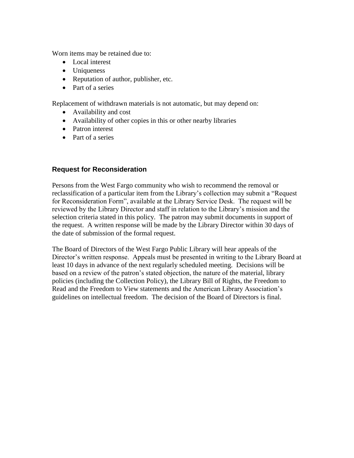Worn items may be retained due to:

- Local interest
- Uniqueness
- Reputation of author, publisher, etc.
- Part of a series

Replacement of withdrawn materials is not automatic, but may depend on:

- Availability and cost
- Availability of other copies in this or other nearby libraries
- Patron interest
- Part of a series

# **Request for Reconsideration**

Persons from the West Fargo community who wish to recommend the removal or reclassification of a particular item from the Library's collection may submit a "Request for Reconsideration Form", available at the Library Service Desk. The request will be reviewed by the Library Director and staff in relation to the Library's mission and the selection criteria stated in this policy. The patron may submit documents in support of the request. A written response will be made by the Library Director within 30 days of the date of submission of the formal request.

The Board of Directors of the West Fargo Public Library will hear appeals of the Director's written response. Appeals must be presented in writing to the Library Board at least 10 days in advance of the next regularly scheduled meeting. Decisions will be based on a review of the patron's stated objection, the nature of the material, library policies (including the Collection Policy), the Library Bill of Rights, the Freedom to Read and the Freedom to View statements and the American Library Association's guidelines on intellectual freedom. The decision of the Board of Directors is final.